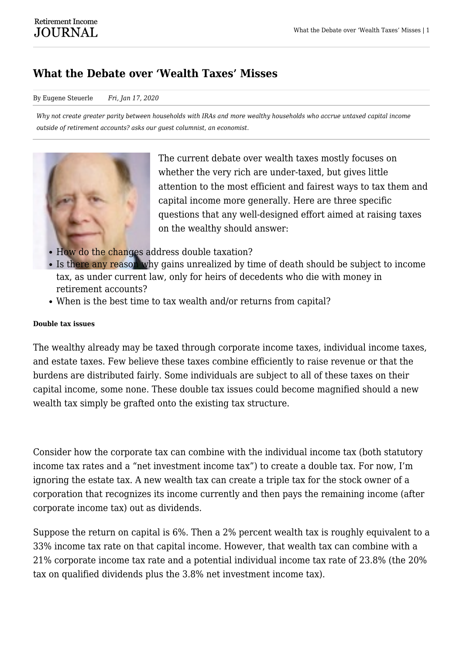# **What the Debate over 'Wealth Taxes' Misses**

### By Eugene Steuerle *Fri, Jan 17, 2020*

*Why not create greater parity between households with IRAs and more wealthy households who accrue untaxed capital income outside of retirement accounts? asks our guest columnist, an economist.*



The current debate over wealth taxes mostly focuses on whether the very rich are under-taxed, but gives little attention to the most efficient and fairest ways to tax them and capital income more generally. Here are three specific questions that any well-designed effort aimed at raising taxes on the wealthy should answer:

- How do the changes address double taxation?
- Is there any reason why gains unrealized by time of death should be subject to income tax, as under current law, only for heirs of decedents who die with money in retirement accounts?
- When is the best time to tax wealth and/or returns from capital?

## **Double tax issues**

The wealthy already may be taxed through corporate income taxes, individual income taxes, and estate taxes. Few believe these taxes combine efficiently to raise revenue or that the burdens are distributed fairly. Some individuals are subject to all of these taxes on their capital income, some none. These double tax issues could become magnified should a new wealth tax simply be grafted onto the existing tax structure.

Consider how the corporate tax can combine with the individual income tax (both statutory income tax rates and a "net investment income tax") to create a double tax. For now, I'm ignoring the estate tax. A new wealth tax can create a triple tax for the stock owner of a corporation that recognizes its income currently and then pays the remaining income (after corporate income tax) out as dividends.

Suppose the return on capital is 6%. Then a 2% percent wealth tax is roughly equivalent to a 33% income tax rate on that capital income. However, that wealth tax can combine with a 21% corporate income tax rate and a potential individual income tax rate of 23.8% (the 20% tax on qualified dividends plus the 3.8% net investment income tax).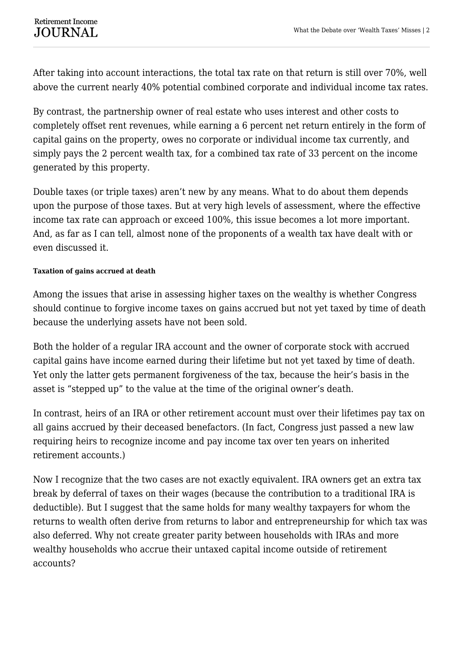After taking into account interactions, the total tax rate on that return is still over 70%, well above the current nearly 40% potential combined corporate and individual income tax rates.

By contrast, the partnership owner of real estate who uses interest and other costs to completely offset rent revenues, while earning a 6 percent net return entirely in the form of capital gains on the property, owes no corporate or individual income tax currently, and simply pays the 2 percent wealth tax, for a combined tax rate of 33 percent on the income generated by this property.

Double taxes (or triple taxes) aren't new by any means. What to do about them depends upon the purpose of those taxes. But at very high levels of assessment, where the effective income tax rate can approach or exceed 100%, this issue becomes a lot more important. And, as far as I can tell, almost none of the proponents of a wealth tax have dealt with or even discussed it.

# **Taxation of gains accrued at death**

Among the issues that arise in assessing higher taxes on the wealthy is whether Congress should continue to forgive income taxes on gains accrued but not yet taxed by time of death because the underlying assets have not been sold.

Both the holder of a regular IRA account and the owner of corporate stock with accrued capital gains have income earned during their lifetime but not yet taxed by time of death. Yet only the latter gets permanent forgiveness of the tax, because the heir's basis in the asset is "stepped up" to the value at the time of the original owner's death.

In contrast, heirs of an IRA or other retirement account must over their lifetimes pay tax on all gains accrued by their deceased benefactors. (In fact, Congress just passed a new law requiring heirs to recognize income and pay income tax over ten years on inherited retirement accounts.)

Now I recognize that the two cases are not exactly equivalent. IRA owners get an extra tax break by deferral of taxes on their wages (because the contribution to a traditional IRA is deductible). But I suggest that the same holds for many wealthy taxpayers for whom the returns to wealth often derive from returns to labor and entrepreneurship for which tax was also deferred. Why not create greater parity between households with IRAs and more wealthy households who accrue their untaxed capital income outside of retirement accounts?